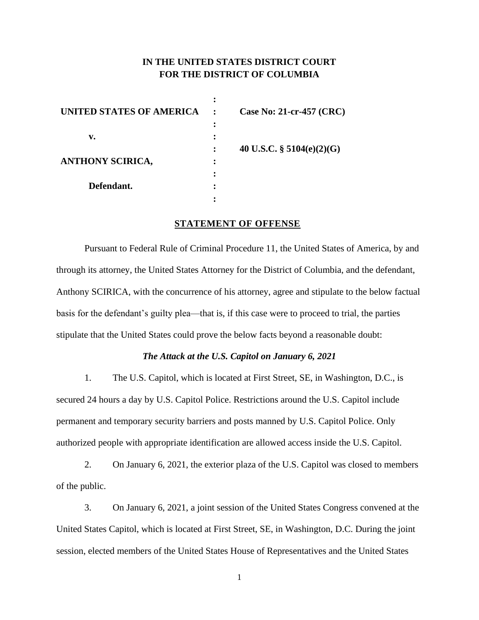## **IN THE UNITED STATES DISTRICT COURT FOR THE DISTRICT OF COLUMBIA**

| UNITED STATES OF AMERICA | Case No: 21-cr-457 (CRC)     |
|--------------------------|------------------------------|
|                          |                              |
| v.                       |                              |
|                          | 40 U.S.C. $\S$ 5104(e)(2)(G) |
| <b>ANTHONY SCIRICA,</b>  |                              |
|                          |                              |
| Defendant.               |                              |
|                          |                              |

#### **STATEMENT OF OFFENSE**

Pursuant to Federal Rule of Criminal Procedure 11, the United States of America, by and through its attorney, the United States Attorney for the District of Columbia, and the defendant, Anthony SCIRICA, with the concurrence of his attorney, agree and stipulate to the below factual basis for the defendant's guilty plea—that is, if this case were to proceed to trial, the parties stipulate that the United States could prove the below facts beyond a reasonable doubt:

### *The Attack at the U.S. Capitol on January 6, 2021*

1. The U.S. Capitol, which is located at First Street, SE, in Washington, D.C., is secured 24 hours a day by U.S. Capitol Police. Restrictions around the U.S. Capitol include permanent and temporary security barriers and posts manned by U.S. Capitol Police. Only authorized people with appropriate identification are allowed access inside the U.S. Capitol.

2. On January 6, 2021, the exterior plaza of the U.S. Capitol was closed to members of the public.

3. On January 6, 2021, a joint session of the United States Congress convened at the United States Capitol, which is located at First Street, SE, in Washington, D.C. During the joint session, elected members of the United States House of Representatives and the United States

1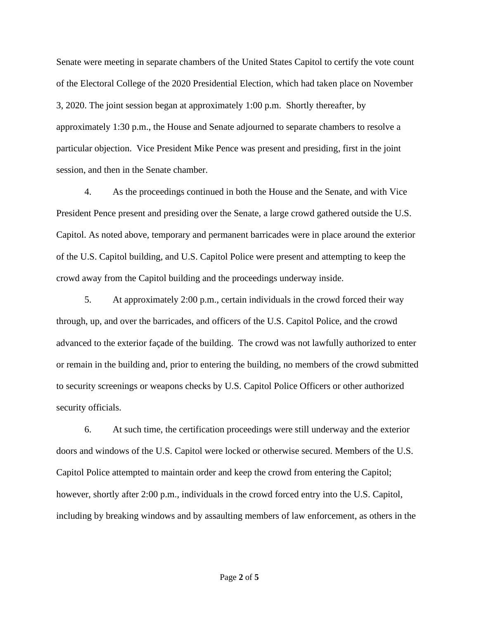Senate were meeting in separate chambers of the United States Capitol to certify the vote count of the Electoral College of the 2020 Presidential Election, which had taken place on November 3, 2020. The joint session began at approximately 1:00 p.m. Shortly thereafter, by approximately 1:30 p.m., the House and Senate adjourned to separate chambers to resolve a particular objection. Vice President Mike Pence was present and presiding, first in the joint session, and then in the Senate chamber.

4. As the proceedings continued in both the House and the Senate, and with Vice President Pence present and presiding over the Senate, a large crowd gathered outside the U.S. Capitol. As noted above, temporary and permanent barricades were in place around the exterior of the U.S. Capitol building, and U.S. Capitol Police were present and attempting to keep the crowd away from the Capitol building and the proceedings underway inside.

5. At approximately 2:00 p.m., certain individuals in the crowd forced their way through, up, and over the barricades, and officers of the U.S. Capitol Police, and the crowd advanced to the exterior façade of the building. The crowd was not lawfully authorized to enter or remain in the building and, prior to entering the building, no members of the crowd submitted to security screenings or weapons checks by U.S. Capitol Police Officers or other authorized security officials.

6. At such time, the certification proceedings were still underway and the exterior doors and windows of the U.S. Capitol were locked or otherwise secured. Members of the U.S. Capitol Police attempted to maintain order and keep the crowd from entering the Capitol; however, shortly after 2:00 p.m., individuals in the crowd forced entry into the U.S. Capitol, including by breaking windows and by assaulting members of law enforcement, as others in the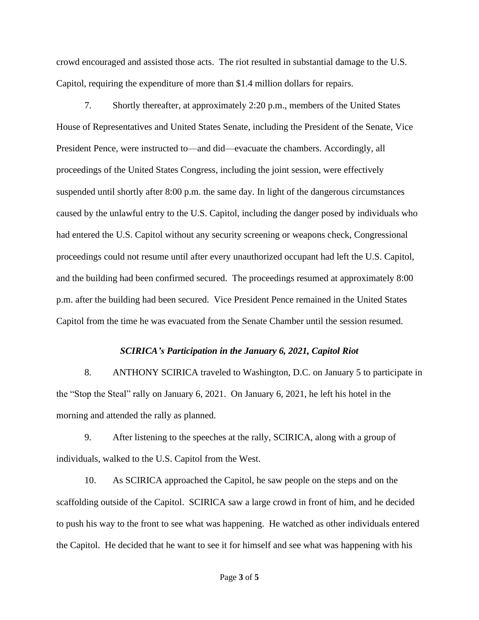crowd encouraged and assisted those acts. The riot resulted in substantial damage to the U.S. Capitol, requiring the expenditure of more than \$1.4 million dollars for repairs.

7. Shortly thereafter, at approximately 2:20 p.m., members of the United States House of Representatives and United States Senate, including the President of the Senate, Vice President Pence, were instructed to—and did—evacuate the chambers. Accordingly, all proceedings of the United States Congress, including the joint session, were effectively suspended until shortly after 8:00 p.m. the same day. In light of the dangerous circumstances caused by the unlawful entry to the U.S. Capitol, including the danger posed by individuals who had entered the U.S. Capitol without any security screening or weapons check, Congressional proceedings could not resume until after every unauthorized occupant had left the U.S. Capitol, and the building had been confirmed secured. The proceedings resumed at approximately 8:00 p.m. after the building had been secured. Vice President Pence remained in the United States Capitol from the time he was evacuated from the Senate Chamber until the session resumed.

#### *SCIRICA's Participation in the January 6, 2021, Capitol Riot*

8. ANTHONY SCIRICA traveled to Washington, D.C. on January 5 to participate in the "Stop the Steal" rally on January 6, 2021. On January 6, 2021, he left his hotel in the morning and attended the rally as planned.

9. After listening to the speeches at the rally, SCIRICA, along with a group of individuals, walked to the U.S. Capitol from the West.

10. As SCIRICA approached the Capitol, he saw people on the steps and on the scaffolding outside of the Capitol. SCIRICA saw a large crowd in front of him, and he decided to push his way to the front to see what was happening. He watched as other individuals entered the Capitol. He decided that he want to see it for himself and see what was happening with his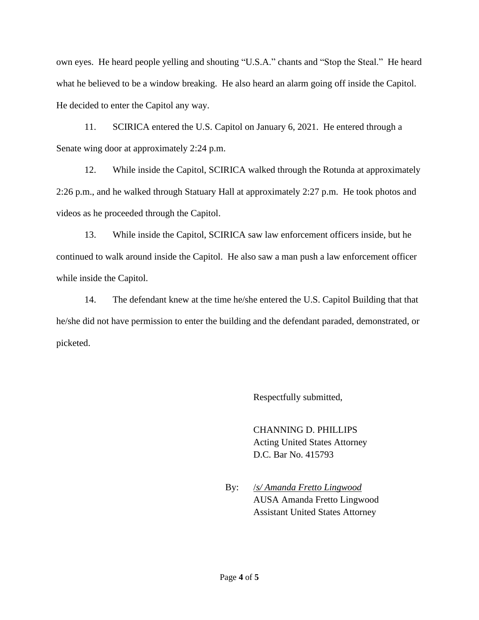own eyes. He heard people yelling and shouting "U.S.A." chants and "Stop the Steal." He heard what he believed to be a window breaking. He also heard an alarm going off inside the Capitol. He decided to enter the Capitol any way.

11. SCIRICA entered the U.S. Capitol on January 6, 2021. He entered through a Senate wing door at approximately 2:24 p.m.

12. While inside the Capitol, SCIRICA walked through the Rotunda at approximately 2:26 p.m., and he walked through Statuary Hall at approximately 2:27 p.m. He took photos and videos as he proceeded through the Capitol.

13. While inside the Capitol, SCIRICA saw law enforcement officers inside, but he continued to walk around inside the Capitol. He also saw a man push a law enforcement officer while inside the Capitol.

14. The defendant knew at the time he/she entered the U.S. Capitol Building that that he/she did not have permission to enter the building and the defendant paraded, demonstrated, or picketed.

Respectfully submitted,

CHANNING D. PHILLIPS Acting United States Attorney D.C. Bar No. 415793

By: /*s/ Amanda Fretto Lingwood* AUSA Amanda Fretto Lingwood Assistant United States Attorney